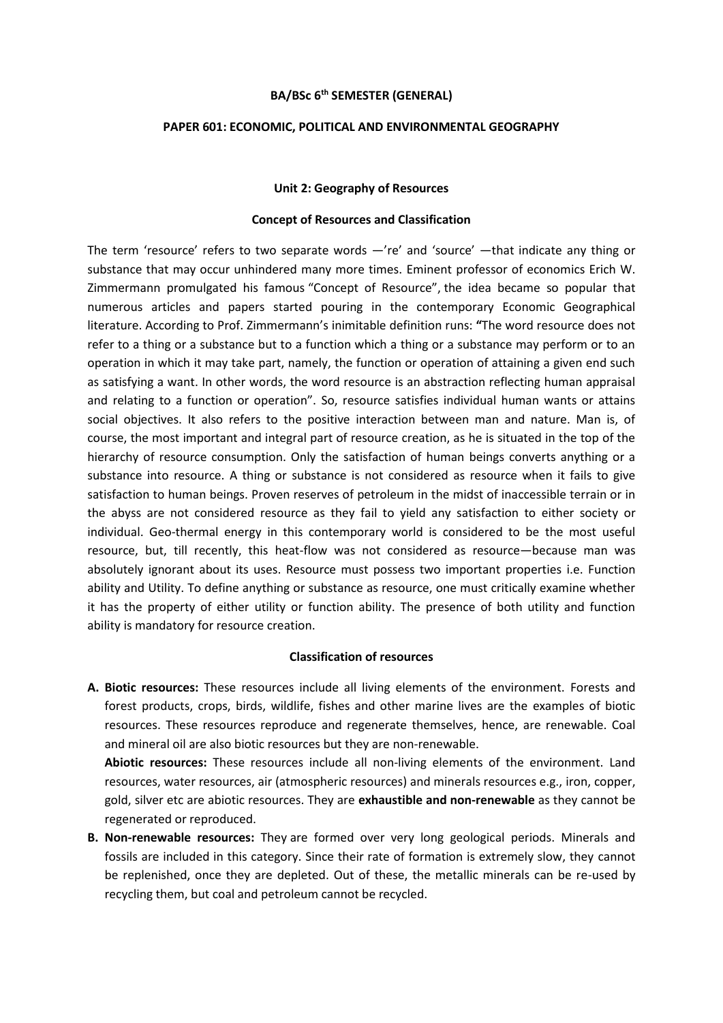## **BA/BSc 6th SEMESTER (GENERAL)**

# **PAPER 601: ECONOMIC, POLITICAL AND ENVIRONMENTAL GEOGRAPHY**

#### **Unit 2: Geography of Resources**

## **Concept of Resources and Classification**

The term 'resource' refers to two separate words —'re' and 'source' —that indicate any thing or substance that may occur unhindered many more times. Eminent professor of economics Erich W. Zimmermann promulgated his famous "Concept of Resource", the idea became so popular that numerous articles and papers started pouring in the contemporary Economic Geographical literature. According to Prof. Zimmermann's inimitable definition runs: **"**The word resource does not refer to a thing or a substance but to a function which a thing or a substance may perform or to an operation in which it may take part, namely, the function or operation of attaining a given end such as satisfying a want. In other words, the word resource is an abstraction reflecting human appraisal and relating to a function or operation". So, resource satisfies individual human wants or attains social objectives. It also refers to the positive interaction between man and nature. Man is, of course, the most important and integral part of resource creation, as he is situated in the top of the hierarchy of resource consumption. Only the satisfaction of human beings converts anything or a substance into resource. A thing or substance is not considered as resource when it fails to give satisfaction to human beings. Proven reserves of petroleum in the midst of inaccessible terrain or in the abyss are not considered resource as they fail to yield any satisfaction to either society or individual. Geo-thermal energy in this contemporary world is considered to be the most useful resource, but, till recently, this heat-flow was not considered as resource—because man was absolutely ignorant about its uses. Resource must possess two important properties i.e. Function ability and Utility. To define anything or substance as resource, one must critically examine whether it has the property of either utility or function ability. The presence of both utility and function ability is mandatory for resource creation.

# **Classification of resources**

**A. Biotic resources:** These resources include all living elements of the environment. Forests and forest products, crops, birds, wildlife, fishes and other marine lives are the examples of biotic resources. These resources reproduce and regenerate themselves, hence, are renewable. Coal and mineral oil are also biotic resources but they are non-renewable.

**Abiotic resources:** These resources include all non-living elements of the environment. Land resources, water resources, air (atmospheric resources) and minerals resources e.g., iron, copper, gold, silver etc are abiotic resources. They are **exhaustible and non-renewable** as they cannot be regenerated or reproduced.

**B. Non-renewable resources:** They are formed over very long geological periods. Minerals and fossils are included in this category. Since their rate of formation is extremely slow, they cannot be replenished, once they are depleted. Out of these, the metallic minerals can be re-used by recycling them, but coal and petroleum cannot be recycled.